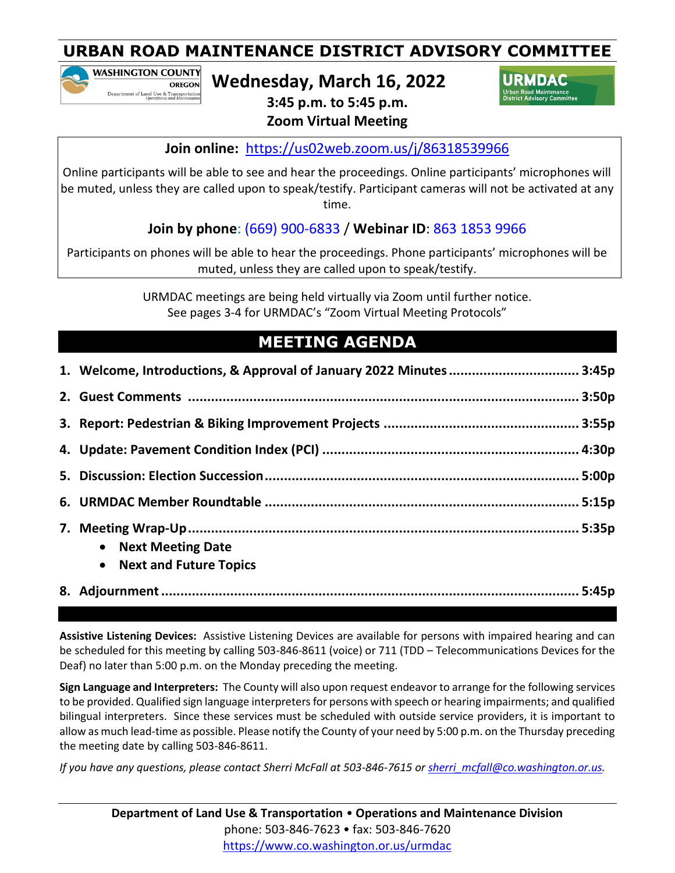**WASHINGTON COUNTY OREGON** Department of Land Use & Transportation<br>Operations and Maintenance

**Wednesday, March 16, 2022**

URMDAC

**3:45 p.m. to 5:45 p.m. Zoom Virtual Meeting**

**Join online:** <https://us02web.zoom.us/j/86318539966>

Online participants will be able to see and hear the proceedings. Online participants' microphones will be muted, unless they are called upon to speak/testify. Participant cameras will not be activated at any time.

## **Join by phone**: (669) 900-6833 / **Webinar ID**: 863 1853 9966

Participants on phones will be able to hear the proceedings. Phone participants' microphones will be muted, unless they are called upon to speak/testify.

> URMDAC meetings are being held virtually via Zoom until further notice. See pages 3-4 for URMDAC's "Zoom Virtual Meeting Protocols"

# **MEETING AGENDA**

| <b>Next Meeting Date</b><br>$\bullet$<br><b>Next and Future Topics</b><br>$\bullet$ |
|-------------------------------------------------------------------------------------|
|                                                                                     |

**Assistive Listening Devices:** Assistive Listening Devices are available for persons with impaired hearing and can be scheduled for this meeting by calling 503-846-8611 (voice) or 711 (TDD – Telecommunications Devices for the Deaf) no later than 5:00 p.m. on the Monday preceding the meeting.

**Sign Language and Interpreters:** The County will also upon request endeavor to arrange for the following services to be provided. Qualified sign language interpreters for persons with speech or hearing impairments; and qualified bilingual interpreters. Since these services must be scheduled with outside service providers, it is important to allow as much lead-time as possible. Please notify the County of your need by 5:00 p.m. on the Thursday preceding the meeting date by calling 503-846-8611.

*If you have any questions, please contact Sherri McFall at 503-846-7615 or [sherri\\_mcfall@co.washington.or.us.](mailto:sherri_mcfall@co.washington.or.us)*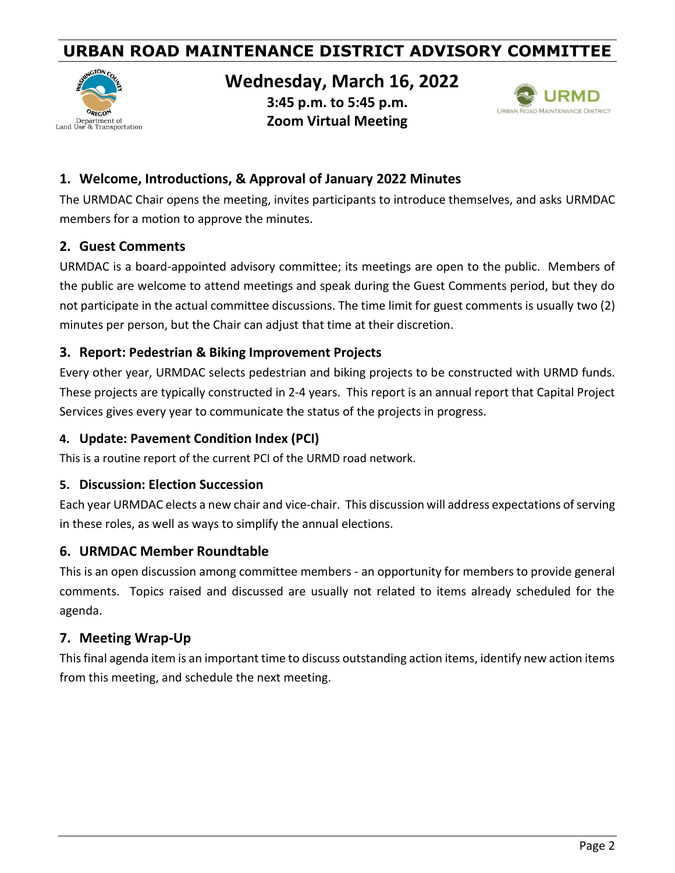

### **Wednesday, March 16, 2022**

**3:45 p.m. to 5:45 p.m. Zoom Virtual Meeting**



#### **1. Welcome, Introductions, & Approval of January 2022 Minutes**

The URMDAC Chair opens the meeting, invites participants to introduce themselves, and asks URMDAC members for a motion to approve the minutes.

#### **2. Guest Comments**

URMDAC is a board-appointed advisory committee; its meetings are open to the public. Members of the public are welcome to attend meetings and speak during the Guest Comments period, but they do not participate in the actual committee discussions. The time limit for guest comments is usually two (2) minutes per person, but the Chair can adjust that time at their discretion.

#### **3. Report: Pedestrian & Biking Improvement Projects**

Every other year, URMDAC selects pedestrian and biking projects to be constructed with URMD funds. These projects are typically constructed in 2-4 years. This report is an annual report that Capital Project Services gives every year to communicate the status of the projects in progress.

#### **4. Update: Pavement Condition Index (PCI)**

This is a routine report of the current PCI of the URMD road network.

#### **5. Discussion: Election Succession**

Each year URMDAC elects a new chair and vice-chair. This discussion will address expectations of serving in these roles, as well as ways to simplify the annual elections.

#### **6. URMDAC Member Roundtable**

This is an open discussion among committee members - an opportunity for members to provide general comments. Topics raised and discussed are usually not related to items already scheduled for the agenda.

#### **7. Meeting Wrap-Up**

This final agenda item is an important time to discuss outstanding action items, identify new action items from this meeting, and schedule the next meeting.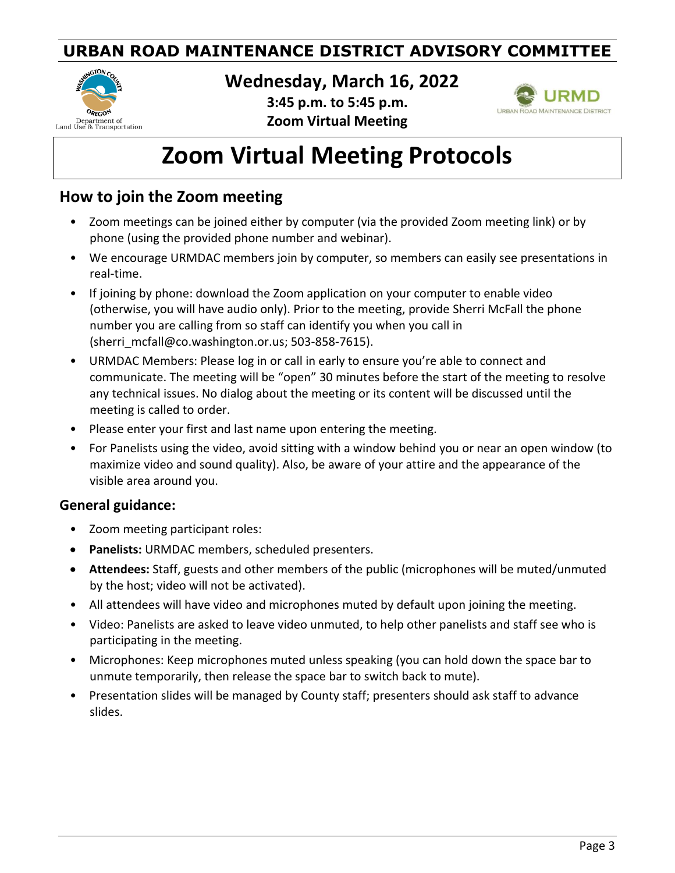

**Wednesday, March 16, 2022**

**3:45 p.m. to 5:45 p.m. Zoom Virtual Meeting**



# **Zoom Virtual Meeting Protocols**

### **How to join the Zoom meeting**

- Zoom meetings can be joined either by computer (via the provided Zoom meeting link) or by phone (using the provided phone number and webinar).
- We encourage URMDAC members join by computer, so members can easily see presentations in real-time.
- If joining by phone: download the Zoom application on your computer to enable video (otherwise, you will have audio only). Prior to the meeting, provide Sherri McFall the phone number you are calling from so staff can identify you when you call in (sherri\_mcfall@co.washington.or.us; 503-858-7615).
- URMDAC Members: Please log in or call in early to ensure you're able to connect and communicate. The meeting will be "open" 30 minutes before the start of the meeting to resolve any technical issues. No dialog about the meeting or its content will be discussed until the meeting is called to order.
- Please enter your first and last name upon entering the meeting.
- For Panelists using the video, avoid sitting with a window behind you or near an open window (to maximize video and sound quality). Also, be aware of your attire and the appearance of the visible area around you.

#### **General guidance:**

- Zoom meeting participant roles:
- **Panelists:** URMDAC members, scheduled presenters.
- **Attendees:** Staff, guests and other members of the public (microphones will be muted/unmuted by the host; video will not be activated).
- All attendees will have video and microphones muted by default upon joining the meeting.
- Video: Panelists are asked to leave video unmuted, to help other panelists and staff see who is participating in the meeting.
- Microphones: Keep microphones muted unless speaking (you can hold down the space bar to unmute temporarily, then release the space bar to switch back to mute).
- Presentation slides will be managed by County staff; presenters should ask staff to advance slides.